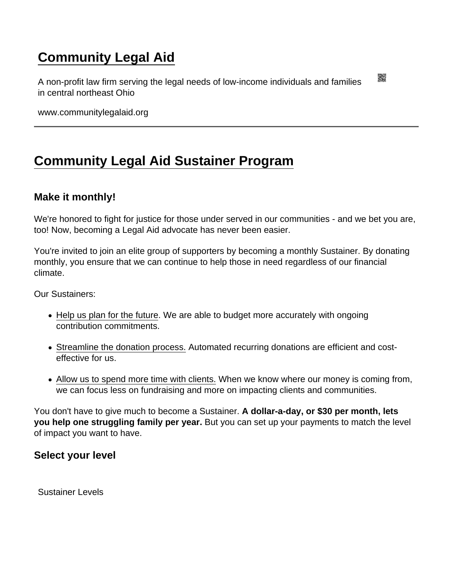## [Community Legal Aid](https://www.communitylegalaid.org/)

A non-profit law firm serving the legal needs of low-income individuals and families in central northeast Ohio

www.communitylegalaid.org

## [Community Legal Aid Sustainer Program](https://www.communitylegalaid.org/sustainer)

## Make it monthly!

We're honored to fight for justice for those under served in our communities - and we bet you are, too! Now, becoming a Legal Aid advocate has never been easier.

You're invited to join an elite group of supporters by becoming a monthly Sustainer. By donating monthly, you ensure that we can continue to help those in need regardless of our financial climate.

Our Sustainers:

- Help us plan for the future. We are able to budget more accurately with ongoing contribution commitments.
- Streamline the donation process. Automated recurring donations are efficient and costeffective for us.
- Allow us to spend more time with clients. When we know where our money is coming from, we can focus less on fundraising and more on impacting clients and communities.

You don't have to give much to become a Sustainer. A dollar-a-day, or \$30 per month, lets you help one struggling family per year. But you can set up your payments to match the level of impact you want to have.

Select your level

Sustainer Levels